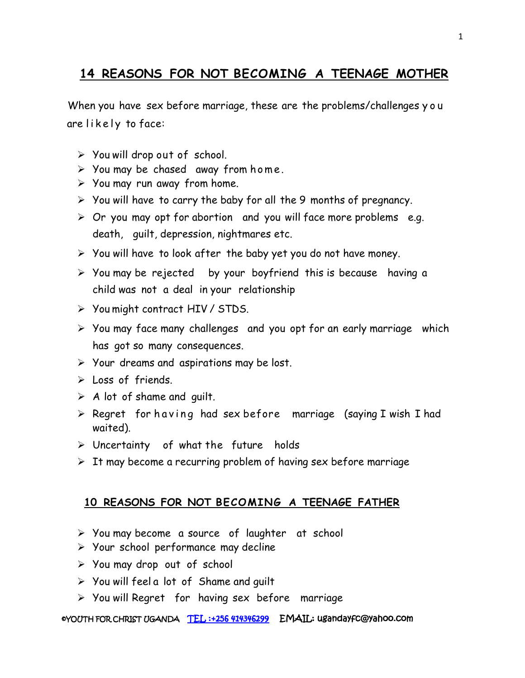## **14 REASONS FOR NOT BECOMING A TEENAGE MOTHER**

When you have sex before marriage, these are the problems/challenges y o u are likely to face:

- $\triangleright$  You will drop out of school.
- $\triangleright$  You may be chased away from home.
- $\triangleright$  You may run away from home.
- $\triangleright$  You will have to carry the baby for all the 9 months of pregnancy.
- $\triangleright$  Or you may opt for abortion and you will face more problems e.g. death, guilt, depression, nightmares etc.
- $\triangleright$  You will have to look after the baby yet you do not have money.
- $\triangleright$  You may be rejected by your boyfriend this is because having a child was not a deal in your relationship
- You might contract HIV / STDS.
- $\triangleright$  You may face many challenges and you opt for an early marriage which has got so many consequences.
- Your dreams and aspirations may be lost.
- $\triangleright$  Loss of friends.
- $\triangleright$  A lot of shame and quilt.
- $\triangleright$  Regret for having had sex before marriage (saying I wish I had waited).
- Uncertainty of what the future holds
- $\triangleright$  It may become a recurring problem of having sex before marriage

## **10 REASONS FOR NOT BECOMING A TEENAGE FATHER**

- You may become a source of laughter at school
- $\triangleright$  Your school performance may decline
- You may drop out of school
- $\triangleright$  You will feel a lot of Shame and quilt
- $\triangleright$  You will Regret for having sex before marriage

## ©YOUTH FOR CHRIST UGANDA TEL :+256 414346299 EMAIL: ugandayfc@yahoo.com